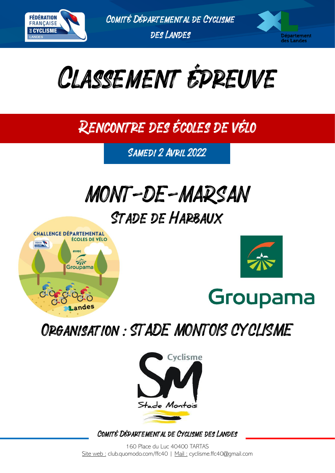

Comité Départemental de Cyclisme des Landes





# Rencontre des écoles de vélo

SAMEDI 2 AVRIL 2022



# Stade de Harbaux







# Organisation: STADE MONTOIS CYCLISME



Comité Départemental de Cyclisme des Landes

160 Place du Luc 40400 TARTAS Site web : club.quomodo.com/ffc40 | Mail : cyclisme.ffc40@gmail.com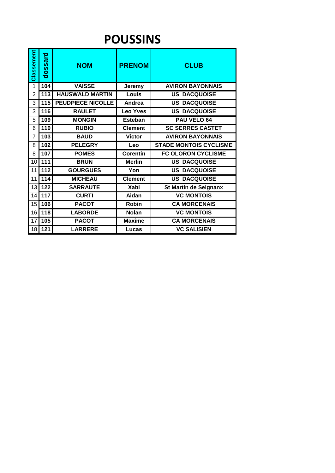#### **POUSSINS**

| <b>Classement</b> | dossard | <b>NOM</b>               | <b>PRENOM</b>   | <b>CLUB</b>                   |
|-------------------|---------|--------------------------|-----------------|-------------------------------|
| $\mathbf{1}$      | 104     | <b>VAISSE</b>            | Jeremy          | <b>AVIRON BAYONNAIS</b>       |
| $\overline{2}$    | 113     | <b>HAUSWALD MARTIN</b>   | Louis           | <b>US DACQUOISE</b>           |
| 3                 | 115     | <b>PEUDPIECE NICOLLE</b> | Andrea          | <b>US DACQUOISE</b>           |
| 3                 | 116     | <b>RAULET</b>            | <b>Leo Yves</b> | <b>US DACQUOISE</b>           |
| 5                 | 109     | <b>MONGIN</b>            | <b>Esteban</b>  | PAU VELO 64                   |
| 6                 | 110     | <b>RUBIO</b>             | <b>Clement</b>  | <b>SC SERRES CASTET</b>       |
| $\overline{7}$    | 103     | <b>BAUD</b>              | <b>Victor</b>   | <b>AVIRON BAYONNAIS</b>       |
| 8                 | 102     | <b>PELEGRY</b>           | Leo             | <b>STADE MONTOIS CYCLISME</b> |
| 8                 | 107     | <b>POMES</b>             | <b>Corentin</b> | <b>FC OLORON CYCLISME</b>     |
| 10                | 111     | <b>BRUN</b>              | <b>Merlin</b>   | <b>US DACQUOISE</b>           |
| 11                | 112     | <b>GOURGUES</b>          | Yon             | <b>US DACQUOISE</b>           |
| 11                | 114     | <b>MICHEAU</b>           | <b>Clement</b>  | <b>US DACQUOISE</b>           |
| 13                | 122     | <b>SARRAUTE</b>          | Xabi            | <b>St Martin de Seignanx</b>  |
| 14                | 117     | <b>CURTI</b>             | Aidan           | <b>VC MONTOIS</b>             |
| 15                | 106     | <b>PACOT</b>             | <b>Robin</b>    | <b>CA MORCENAIS</b>           |
| 16                | 118     | <b>LABORDE</b>           | <b>Nolan</b>    | <b>VC MONTOIS</b>             |
| 17                | 105     | <b>PACOT</b>             | <b>Maxime</b>   | <b>CA MORCENAIS</b>           |
| 18                | 121     | <b>LARRERE</b>           | Lucas           | <b>VC SALISIEN</b>            |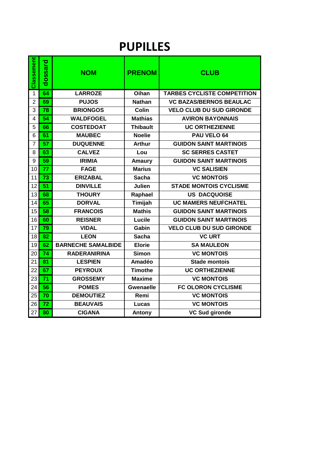### **PUPILLES**

| <b>Classement</b>       | dossard         | <b>NOM</b>                                       | <b>PRENOM</b>    | <b>CLUB</b>                        |
|-------------------------|-----------------|--------------------------------------------------|------------------|------------------------------------|
| $\overline{1}$          | 64              | <b>LARROZE</b>                                   | Oihan            | <b>TARBES CYCLISTE COMPETITION</b> |
| $\overline{2}$          | 69              | <b>PUJOS</b>                                     | <b>Nathan</b>    | <b>VC BAZAS/BERNOS BEAULAC</b>     |
| 3                       | $\overline{78}$ | <b>BRIONGOS</b>                                  | <b>Colin</b>     | <b>VELO CLUB DU SUD GIRONDE</b>    |
| $\overline{\mathbf{4}}$ | $\overline{54}$ | <b>WALDFOGEL</b>                                 | <b>Mathias</b>   | <b>AVIRON BAYONNAIS</b>            |
| 5                       | 66              | <b>COSTEDOAT</b>                                 | <b>Thibault</b>  | <b>UC ORTHEZIENNE</b>              |
| 6                       | 61              | <b>MAUBEC</b>                                    | <b>Noelie</b>    | PAU VELO 64                        |
| $\overline{7}$          | $\overline{57}$ | <b>DUQUENNE</b>                                  | <b>Arthur</b>    | <b>GUIDON SAINT MARTINOIS</b>      |
| 8                       | 63              | <b>CALVEZ</b>                                    | Lou              | <b>SC SERRES CASTET</b>            |
| 9                       | 59              | <b>IRIMIA</b>                                    | <b>Amaury</b>    | <b>GUIDON SAINT MARTINOIS</b>      |
| 10                      | 77              | <b>FAGE</b>                                      | <b>Marius</b>    | <b>VC SALISIEN</b>                 |
| 11                      | $\overline{73}$ | <b>ERIZABAL</b>                                  | <b>Sacha</b>     | <b>VC MONTOIS</b>                  |
| 12                      | $\overline{51}$ | <b>DINVILLE</b>                                  | Julien           | <b>STADE MONTOIS CYCLISME</b>      |
| 13                      | 68              | <b>THOURY</b>                                    | Raphael          | <b>US DACQUOISE</b>                |
| 14                      | 65              | <b>DORVAL</b>                                    | Timijah          | <b>UC MAMERS NEUFCHATEL</b>        |
| 15                      | 58              | <b>FRANCOIS</b><br><b>Mathis</b>                 |                  | <b>GUIDON SAINT MARTINOIS</b>      |
| 16                      | 60              | <b>REISNER</b>                                   | Lucile           | <b>GUIDON SAINT MARTINOIS</b>      |
| 17                      | $\overline{79}$ | <b>VIDAL</b>                                     | Gabin            | <b>VELO CLUB DU SUD GIRONDE</b>    |
| 18                      | $\overline{82}$ | <b>LEON</b>                                      | <b>Sacha</b>     | <b>VC URT</b>                      |
| 19                      | 62              | <b>BARNECHE SAMALBIDE</b>                        | <b>Elorie</b>    | <b>SA MAULEON</b>                  |
| 20                      | $\overline{74}$ | <b>RADERANIRINA</b>                              | <b>Simon</b>     | <b>VC MONTOIS</b>                  |
| 21                      | $\overline{81}$ | <b>LESPIEN</b>                                   | <b>Amadéo</b>    | <b>Stade montois</b>               |
| 22                      | 67              | <b>PEYROUX</b>                                   | <b>Timothe</b>   | <b>UC ORTHEZIENNE</b>              |
| 23                      | $\overline{71}$ | <b>GROSSEMY</b>                                  | <b>Maxime</b>    | <b>VC MONTOIS</b>                  |
| 24                      | $\overline{56}$ | <b>POMES</b>                                     | <b>Gwenaelle</b> | <b>FC OLORON CYCLISME</b>          |
| 25                      | $\overline{70}$ | <b>DEMOUTIEZ</b>                                 | Remi             | <b>VC MONTOIS</b>                  |
| 26                      | $\overline{72}$ | <b>BEAUVAIS</b><br><b>VC MONTOIS</b><br>Lucas    |                  |                                    |
| 27                      | 80              | <b>CIGANA</b><br><b>VC Sud gironde</b><br>Antony |                  |                                    |